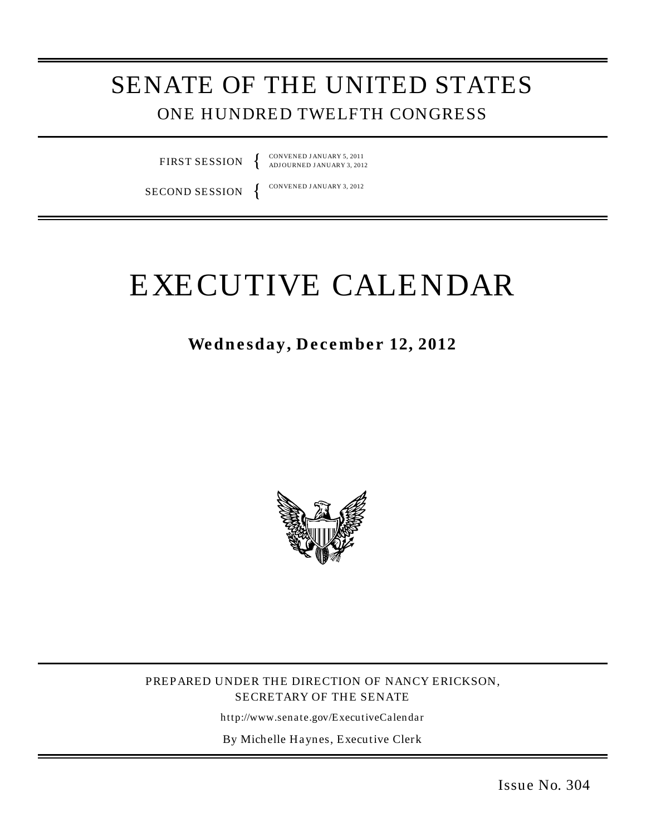# SENATE OF THE UNITED STATES ONE HUNDRED TWELFTH CONGRESS

FIRST SESSION

CONVENED J ANUARY 5, 2011 ADJ OURNED J ANUARY 3, 2012

SECOND SESSION

CONVENED J ANUARY 3, 2012

# EXECUTIVE CALENDAR

Wednesday, December 12, 2012



PREPARED UNDER THE DIRECTION OF NANCY ERICKSON, SECRETARY OF THE SENATE

http://www.senate.gov/ExecutiveCalendar

By Michelle Haynes, Executive Clerk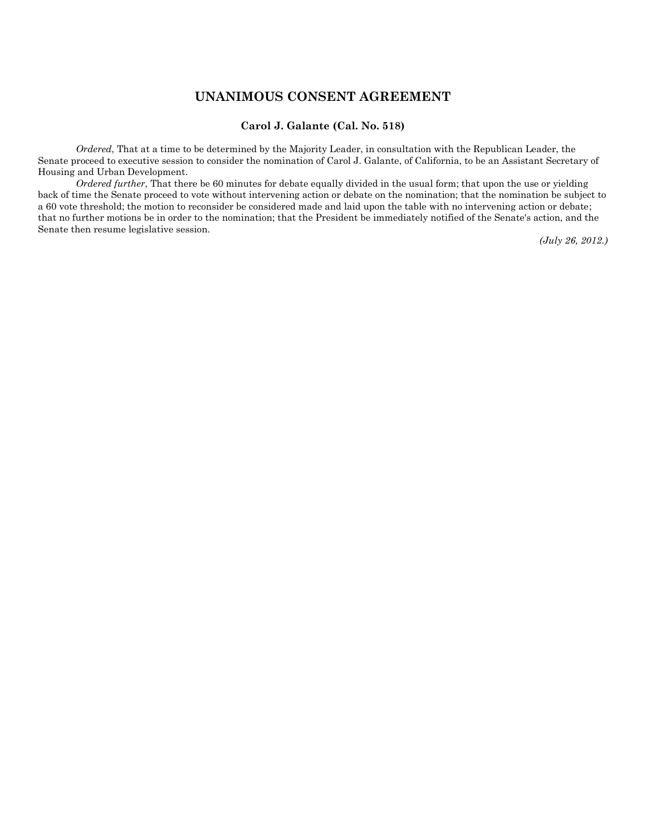#### **UNANIMOUS CONSENT AGREEMENT**

#### **Carol J. Galante (Cal. No. 518)**

*Ordered*, That at a time to be determined by the Majority Leader, in consultation with the Republican Leader, the Senate proceed to executive session to consider the nomination of Carol J. Galante, of California, to be an Assistant Secretary of Housing and Urban Development.

*Ordered further*, That there be 60 minutes for debate equally divided in the usual form; that upon the use or yielding back of time the Senate proceed to vote without intervening action or debate on the nomination; that the nomination be subject to a 60 vote threshold; the motion to reconsider be considered made and laid upon the table with no intervening action or debate; that no further motions be in order to the nomination; that the President be immediately notified of the Senate's action, and the Senate then resume legislative session.

*(July 26, 2012.)*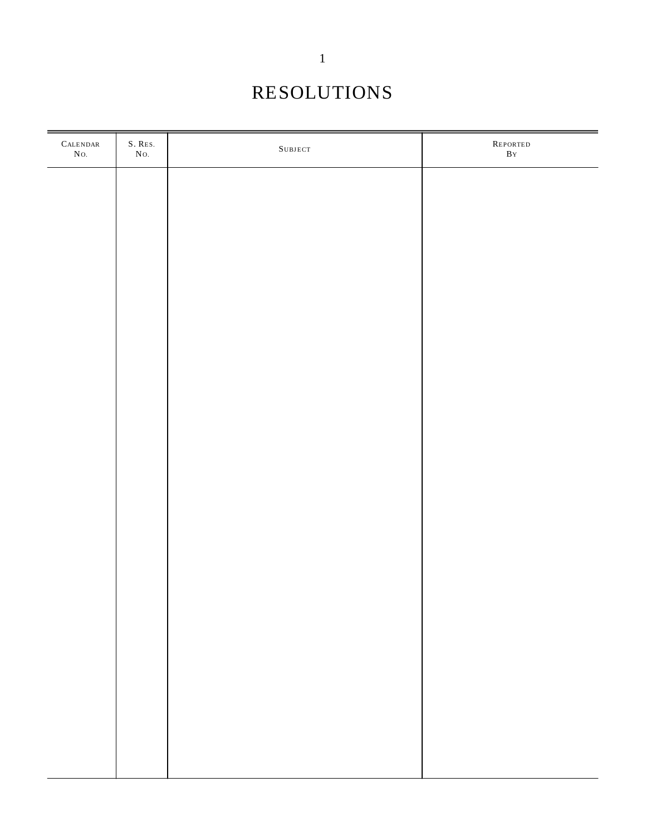# RESOLUTIONS

| $\mbox{CALENDAR}$<br>$\rm No.$ | $S.$ $\mbox{Res}.$<br>$\rm No.$ | ${\bf S}$ UBJECT | ${\large \bf \texttt{REPORTED}}$<br>$\overline{\mathbf{B}}$ Y |
|--------------------------------|---------------------------------|------------------|---------------------------------------------------------------|
|                                |                                 |                  |                                                               |
|                                |                                 |                  |                                                               |
|                                |                                 |                  |                                                               |
|                                |                                 |                  |                                                               |
|                                |                                 |                  |                                                               |
|                                |                                 |                  |                                                               |
|                                |                                 |                  |                                                               |
|                                |                                 |                  |                                                               |
|                                |                                 |                  |                                                               |
|                                |                                 |                  |                                                               |
|                                |                                 |                  |                                                               |
|                                |                                 |                  |                                                               |
|                                |                                 |                  |                                                               |
|                                |                                 |                  |                                                               |
|                                |                                 |                  |                                                               |
|                                |                                 |                  |                                                               |
|                                |                                 |                  |                                                               |
|                                |                                 |                  |                                                               |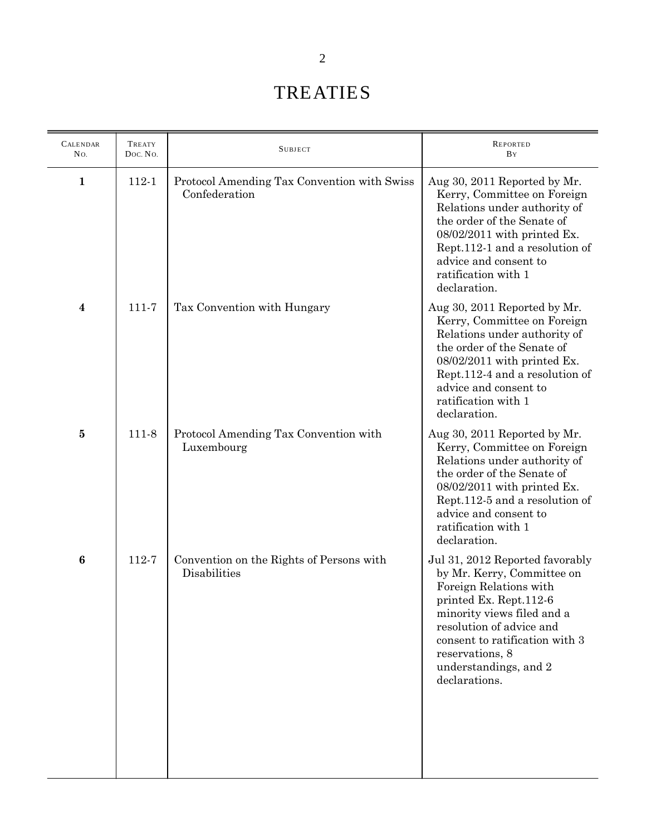# TREATIES

| <b>CALENDAR</b><br>No. | TREATY<br>Doc. No. | <b>SUBJECT</b>                                               | <b>REPORTED</b><br><b>B</b> Y                                                                                                                                                                                                                                              |
|------------------------|--------------------|--------------------------------------------------------------|----------------------------------------------------------------------------------------------------------------------------------------------------------------------------------------------------------------------------------------------------------------------------|
| $\mathbf{1}$           | 112-1              | Protocol Amending Tax Convention with Swiss<br>Confederation | Aug 30, 2011 Reported by Mr.<br>Kerry, Committee on Foreign<br>Relations under authority of<br>the order of the Senate of<br>08/02/2011 with printed Ex.<br>Rept.112-1 and a resolution of<br>advice and consent to<br>ratification with 1<br>declaration.                 |
| 4                      | 111-7              | Tax Convention with Hungary                                  | Aug 30, 2011 Reported by Mr.<br>Kerry, Committee on Foreign<br>Relations under authority of<br>the order of the Senate of<br>$08/02/2011$ with printed Ex.<br>Rept.112-4 and a resolution of<br>advice and consent to<br>ratification with 1<br>declaration.               |
| 5                      | 111-8              | Protocol Amending Tax Convention with<br>Luxembourg          | Aug 30, 2011 Reported by Mr.<br>Kerry, Committee on Foreign<br>Relations under authority of<br>the order of the Senate of<br>08/02/2011 with printed Ex.<br>Rept.112-5 and a resolution of<br>advice and consent to<br>ratification with 1<br>declaration.                 |
| 6                      | 112-7              | Convention on the Rights of Persons with<br>Disabilities     | Jul 31, 2012 Reported favorably<br>by Mr. Kerry, Committee on<br>Foreign Relations with<br>printed Ex. Rept.112-6<br>minority views filed and a<br>resolution of advice and<br>consent to ratification with 3<br>reservations, 8<br>understandings, and 2<br>declarations. |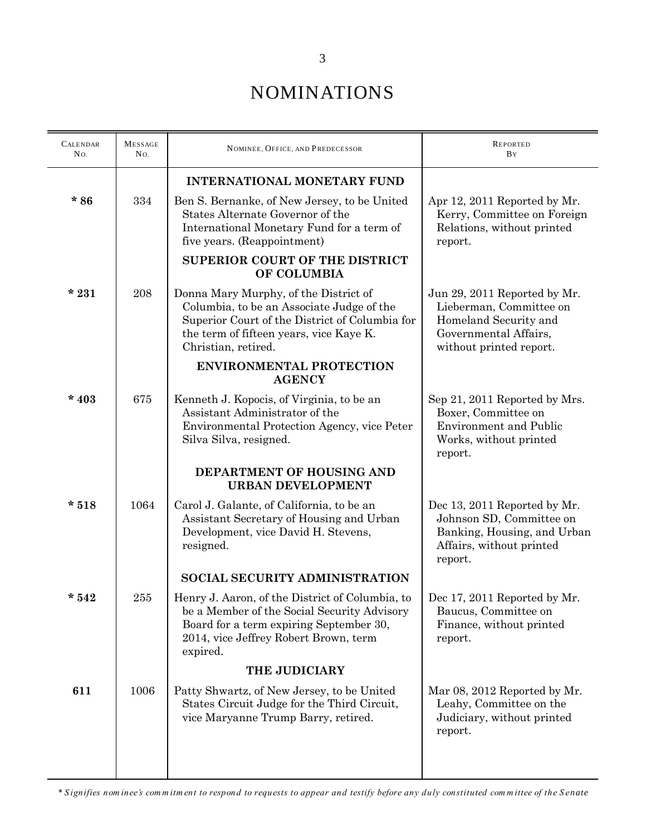| <b>CALENDAR</b><br>No. | <b>MESSAGE</b><br>No. | NOMINEE, OFFICE, AND PREDECESSOR                                                                                                                                                                       | <b>REPORTED</b><br>BY                                                                                                                |  |
|------------------------|-----------------------|--------------------------------------------------------------------------------------------------------------------------------------------------------------------------------------------------------|--------------------------------------------------------------------------------------------------------------------------------------|--|
|                        |                       | <b>INTERNATIONAL MONETARY FUND</b>                                                                                                                                                                     |                                                                                                                                      |  |
| $*86$                  | 334                   | Ben S. Bernanke, of New Jersey, to be United<br>States Alternate Governor of the<br>International Monetary Fund for a term of<br>five years. (Reappointment)                                           | Apr 12, 2011 Reported by Mr.<br>Kerry, Committee on Foreign<br>Relations, without printed<br>report.                                 |  |
|                        |                       | <b>SUPERIOR COURT OF THE DISTRICT</b><br>OF COLUMBIA                                                                                                                                                   |                                                                                                                                      |  |
| $*231$                 | 208                   | Donna Mary Murphy, of the District of<br>Columbia, to be an Associate Judge of the<br>Superior Court of the District of Columbia for<br>the term of fifteen years, vice Kaye K.<br>Christian, retired. | Jun 29, 2011 Reported by Mr.<br>Lieberman, Committee on<br>Homeland Security and<br>Governmental Affairs,<br>without printed report. |  |
|                        |                       | <b>ENVIRONMENTAL PROTECTION</b><br><b>AGENCY</b>                                                                                                                                                       |                                                                                                                                      |  |
| $*403$                 | 675                   | Kenneth J. Kopocis, of Virginia, to be an<br>Assistant Administrator of the<br>Environmental Protection Agency, vice Peter<br>Silva Silva, resigned.                                                   | Sep 21, 2011 Reported by Mrs.<br>Boxer, Committee on<br><b>Environment and Public</b><br>Works, without printed<br>report.           |  |
|                        |                       | DEPARTMENT OF HOUSING AND<br><b>URBAN DEVELOPMENT</b>                                                                                                                                                  |                                                                                                                                      |  |
| $*518$                 | 1064                  | Carol J. Galante, of California, to be an<br>Assistant Secretary of Housing and Urban<br>Development, vice David H. Stevens,<br>resigned.                                                              | Dec 13, 2011 Reported by Mr.<br>Johnson SD, Committee on<br>Banking, Housing, and Urban<br>Affairs, without printed<br>report.       |  |
|                        |                       | <b>SOCIAL SECURITY ADMINISTRATION</b>                                                                                                                                                                  |                                                                                                                                      |  |
| $*542$                 | 255                   | Henry J. Aaron, of the District of Columbia, to<br>be a Member of the Social Security Advisory<br>Board for a term expiring September 30,<br>2014, vice Jeffrey Robert Brown, term<br>expired.         | Dec 17, 2011 Reported by Mr.<br>Baucus, Committee on<br>Finance, without printed<br>report.                                          |  |
|                        |                       | THE JUDICIARY                                                                                                                                                                                          |                                                                                                                                      |  |
| 611                    | 1006                  | Patty Shwartz, of New Jersey, to be United<br>States Circuit Judge for the Third Circuit,<br>vice Maryanne Trump Barry, retired.                                                                       | Mar 08, 2012 Reported by Mr.<br>Leahy, Committee on the<br>Judiciary, without printed<br>report.                                     |  |
|                        |                       |                                                                                                                                                                                                        |                                                                                                                                      |  |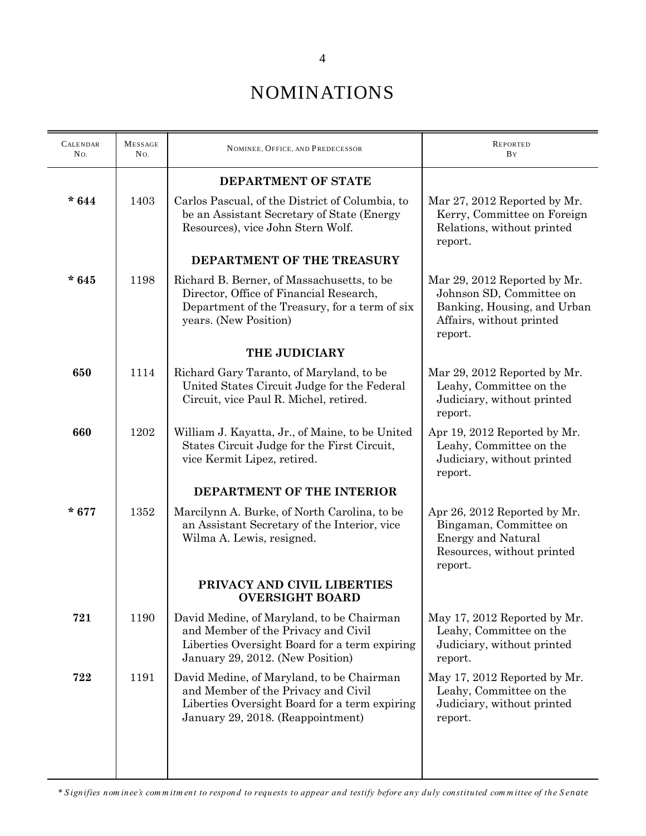| <b>CALENDAR</b><br>No. | <b>MESSAGE</b><br>No. | NOMINEE, OFFICE, AND PREDECESSOR                                                                                                                                       | <b>REPORTED</b><br>BY                                                                                                          |  |
|------------------------|-----------------------|------------------------------------------------------------------------------------------------------------------------------------------------------------------------|--------------------------------------------------------------------------------------------------------------------------------|--|
|                        |                       | DEPARTMENT OF STATE                                                                                                                                                    |                                                                                                                                |  |
| * $644$                | 1403                  | Carlos Pascual, of the District of Columbia, to<br>be an Assistant Secretary of State (Energy<br>Resources), vice John Stern Wolf.                                     | Mar 27, 2012 Reported by Mr.<br>Kerry, Committee on Foreign<br>Relations, without printed<br>report.                           |  |
|                        |                       | DEPARTMENT OF THE TREASURY                                                                                                                                             |                                                                                                                                |  |
| $*645$                 | 1198                  | Richard B. Berner, of Massachusetts, to be<br>Director, Office of Financial Research,<br>Department of the Treasury, for a term of six<br>years. (New Position)        | Mar 29, 2012 Reported by Mr.<br>Johnson SD, Committee on<br>Banking, Housing, and Urban<br>Affairs, without printed<br>report. |  |
|                        |                       | THE JUDICIARY                                                                                                                                                          |                                                                                                                                |  |
| 650                    | 1114                  | Richard Gary Taranto, of Maryland, to be<br>United States Circuit Judge for the Federal<br>Circuit, vice Paul R. Michel, retired.                                      | Mar 29, 2012 Reported by Mr.<br>Leahy, Committee on the<br>Judiciary, without printed<br>report.                               |  |
| 660                    | 1202                  | William J. Kayatta, Jr., of Maine, to be United<br>States Circuit Judge for the First Circuit,<br>vice Kermit Lipez, retired.                                          | Apr 19, 2012 Reported by Mr.<br>Leahy, Committee on the<br>Judiciary, without printed<br>report.                               |  |
|                        |                       | DEPARTMENT OF THE INTERIOR                                                                                                                                             |                                                                                                                                |  |
| $*677$                 | 1352                  | Marcilynn A. Burke, of North Carolina, to be<br>an Assistant Secretary of the Interior, vice<br>Wilma A. Lewis, resigned.                                              | Apr 26, 2012 Reported by Mr.<br>Bingaman, Committee on<br><b>Energy and Natural</b><br>Resources, without printed<br>report.   |  |
|                        |                       | PRIVACY AND CIVIL LIBERTIES<br><b>OVERSIGHT BOARD</b>                                                                                                                  |                                                                                                                                |  |
| 721                    | 1190                  | David Medine, of Maryland, to be Chairman<br>and Member of the Privacy and Civil<br>Liberties Oversight Board for a term expiring<br>January 29, 2012. (New Position)  | May 17, 2012 Reported by Mr.<br>Leahy, Committee on the<br>Judiciary, without printed<br>report.                               |  |
| 722                    | 1191                  | David Medine, of Maryland, to be Chairman<br>and Member of the Privacy and Civil<br>Liberties Oversight Board for a term expiring<br>January 29, 2018. (Reappointment) | May 17, 2012 Reported by Mr.<br>Leahy, Committee on the<br>Judiciary, without printed<br>report.                               |  |
|                        |                       |                                                                                                                                                                        |                                                                                                                                |  |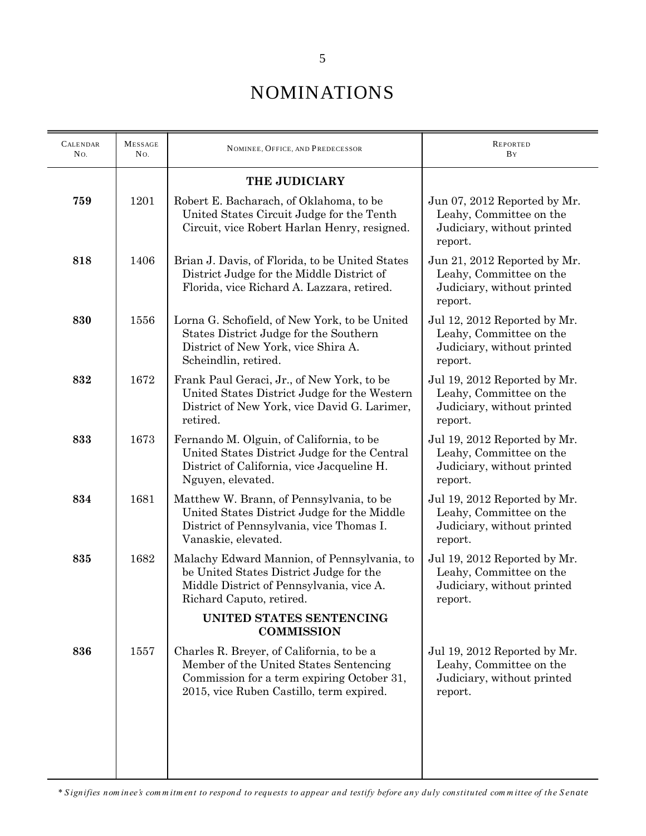| <b>CALENDAR</b><br>No. | <b>MESSAGE</b><br>No. | NOMINEE, OFFICE, AND PREDECESSOR                                                                                                                                              | <b>REPORTED</b><br>BY                                                                            |  |
|------------------------|-----------------------|-------------------------------------------------------------------------------------------------------------------------------------------------------------------------------|--------------------------------------------------------------------------------------------------|--|
|                        |                       | <b>THE JUDICIARY</b>                                                                                                                                                          |                                                                                                  |  |
| 759                    | 1201                  | Robert E. Bacharach, of Oklahoma, to be<br>United States Circuit Judge for the Tenth<br>Circuit, vice Robert Harlan Henry, resigned.                                          | Jun 07, 2012 Reported by Mr.<br>Leahy, Committee on the<br>Judiciary, without printed<br>report. |  |
| 818                    | 1406                  | Brian J. Davis, of Florida, to be United States<br>District Judge for the Middle District of<br>Florida, vice Richard A. Lazzara, retired.                                    | Jun 21, 2012 Reported by Mr.<br>Leahy, Committee on the<br>Judiciary, without printed<br>report. |  |
| 830                    | 1556                  | Lorna G. Schofield, of New York, to be United<br>States District Judge for the Southern<br>District of New York, vice Shira A.<br>Scheindlin, retired.                        | Jul 12, 2012 Reported by Mr.<br>Leahy, Committee on the<br>Judiciary, without printed<br>report. |  |
| 832                    | 1672                  | Frank Paul Geraci, Jr., of New York, to be<br>United States District Judge for the Western<br>District of New York, vice David G. Larimer,<br>retired.                        | Jul 19, 2012 Reported by Mr.<br>Leahy, Committee on the<br>Judiciary, without printed<br>report. |  |
| 833                    | 1673                  | Fernando M. Olguin, of California, to be<br>United States District Judge for the Central<br>District of California, vice Jacqueline H.<br>Nguyen, elevated.                   | Jul 19, 2012 Reported by Mr.<br>Leahy, Committee on the<br>Judiciary, without printed<br>report. |  |
| 834                    | 1681                  | Matthew W. Brann, of Pennsylvania, to be<br>United States District Judge for the Middle<br>District of Pennsylvania, vice Thomas I.<br>Vanaskie, elevated.                    | Jul 19, 2012 Reported by Mr.<br>Leahy, Committee on the<br>Judiciary, without printed<br>report. |  |
| 835                    | 1682                  | Malachy Edward Mannion, of Pennsylvania, to<br>be United States District Judge for the<br>Middle District of Pennsylvania, vice A.<br>Richard Caputo, retired.                | Jul 19, 2012 Reported by Mr.<br>Leahy, Committee on the<br>Judiciary, without printed<br>report. |  |
|                        |                       | UNITED STATES SENTENCING<br><b>COMMISSION</b>                                                                                                                                 |                                                                                                  |  |
| 836                    | 1557                  | Charles R. Breyer, of California, to be a<br>Member of the United States Sentencing<br>Commission for a term expiring October 31,<br>2015, vice Ruben Castillo, term expired. | Jul 19, 2012 Reported by Mr.<br>Leahy, Committee on the<br>Judiciary, without printed<br>report. |  |
|                        |                       |                                                                                                                                                                               |                                                                                                  |  |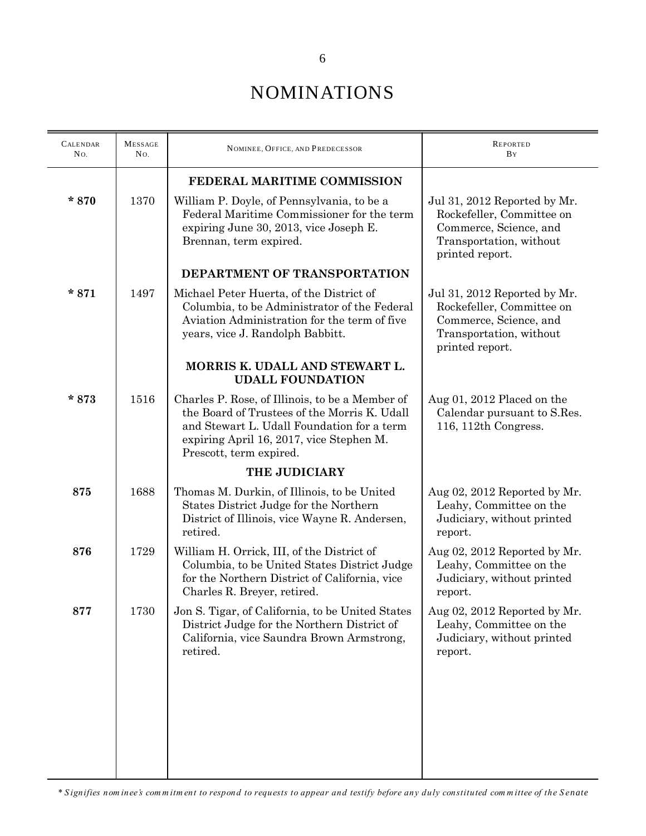| <b>CALENDAR</b><br>No. | <b>MESSAGE</b><br>No. | NOMINEE, OFFICE, AND PREDECESSOR                                                                                                                                                                                     | <b>REPORTED</b><br><b>B</b> Y                                                                                                     |  |
|------------------------|-----------------------|----------------------------------------------------------------------------------------------------------------------------------------------------------------------------------------------------------------------|-----------------------------------------------------------------------------------------------------------------------------------|--|
|                        |                       | FEDERAL MARITIME COMMISSION                                                                                                                                                                                          |                                                                                                                                   |  |
| $*870$                 | 1370                  | William P. Doyle, of Pennsylvania, to be a<br>Federal Maritime Commissioner for the term<br>expiring June 30, 2013, vice Joseph E.<br>Brennan, term expired.                                                         | Jul 31, 2012 Reported by Mr.<br>Rockefeller, Committee on<br>Commerce, Science, and<br>Transportation, without<br>printed report. |  |
|                        |                       | DEPARTMENT OF TRANSPORTATION                                                                                                                                                                                         |                                                                                                                                   |  |
| $*871$                 | 1497                  | Michael Peter Huerta, of the District of<br>Columbia, to be Administrator of the Federal<br>Aviation Administration for the term of five<br>years, vice J. Randolph Babbitt.                                         | Jul 31, 2012 Reported by Mr.<br>Rockefeller, Committee on<br>Commerce, Science, and<br>Transportation, without<br>printed report. |  |
|                        |                       | MORRIS K. UDALL AND STEWART L.<br><b>UDALL FOUNDATION</b>                                                                                                                                                            |                                                                                                                                   |  |
| $*873$                 | 1516                  | Charles P. Rose, of Illinois, to be a Member of<br>the Board of Trustees of the Morris K. Udall<br>and Stewart L. Udall Foundation for a term<br>expiring April 16, 2017, vice Stephen M.<br>Prescott, term expired. | Aug 01, 2012 Placed on the<br>Calendar pursuant to S.Res.<br>116, 112th Congress.                                                 |  |
|                        |                       | THE JUDICIARY                                                                                                                                                                                                        |                                                                                                                                   |  |
| 875                    | 1688                  | Thomas M. Durkin, of Illinois, to be United<br>States District Judge for the Northern<br>District of Illinois, vice Wayne R. Andersen,<br>retired.                                                                   | Aug 02, 2012 Reported by Mr.<br>Leahy, Committee on the<br>Judiciary, without printed<br>report.                                  |  |
| 876                    | 1729                  | William H. Orrick, III, of the District of<br>Columbia, to be United States District Judge<br>for the Northern District of California, vice<br>Charles R. Breyer, retired.                                           | Aug 02, 2012 Reported by Mr.<br>Leahy, Committee on the<br>Judiciary, without printed<br>report.                                  |  |
| 877                    | 1730                  | Jon S. Tigar, of California, to be United States<br>District Judge for the Northern District of<br>California, vice Saundra Brown Armstrong,<br>retired.                                                             | Aug 02, 2012 Reported by Mr.<br>Leahy, Committee on the<br>Judiciary, without printed<br>report.                                  |  |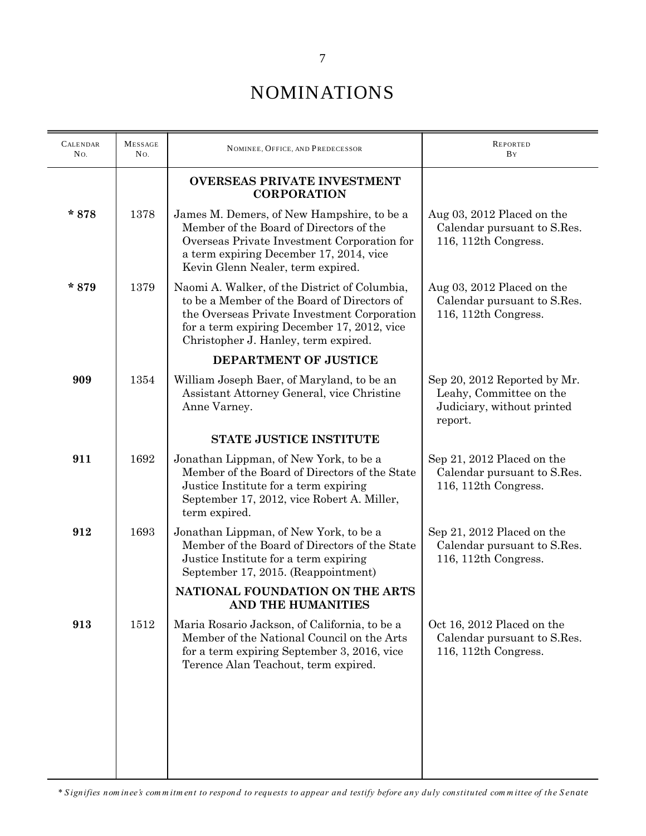| <b>CALENDAR</b><br>No. | <b>MESSAGE</b><br>No. | NOMINEE, OFFICE, AND PREDECESSOR                                                                                                                                                                                                   | <b>REPORTED</b><br><b>B</b> Y                                                                    |  |
|------------------------|-----------------------|------------------------------------------------------------------------------------------------------------------------------------------------------------------------------------------------------------------------------------|--------------------------------------------------------------------------------------------------|--|
|                        |                       | <b>OVERSEAS PRIVATE INVESTMENT</b><br><b>CORPORATION</b>                                                                                                                                                                           |                                                                                                  |  |
| $*878$                 | 1378                  | James M. Demers, of New Hampshire, to be a<br>Member of the Board of Directors of the<br>Overseas Private Investment Corporation for<br>a term expiring December 17, 2014, vice<br>Kevin Glenn Nealer, term expired.               | Aug 03, 2012 Placed on the<br>Calendar pursuant to S.Res.<br>116, 112th Congress.                |  |
| $*879$                 | 1379                  | Naomi A. Walker, of the District of Columbia,<br>to be a Member of the Board of Directors of<br>the Overseas Private Investment Corporation<br>for a term expiring December 17, 2012, vice<br>Christopher J. Hanley, term expired. | Aug $03$ , $2012$ Placed on the<br>Calendar pursuant to S.Res.<br>116, 112th Congress.           |  |
|                        |                       | <b>DEPARTMENT OF JUSTICE</b>                                                                                                                                                                                                       |                                                                                                  |  |
| 909                    | 1354                  | William Joseph Baer, of Maryland, to be an<br>Assistant Attorney General, vice Christine<br>Anne Varney.                                                                                                                           | Sep 20, 2012 Reported by Mr.<br>Leahy, Committee on the<br>Judiciary, without printed<br>report. |  |
|                        |                       | <b>STATE JUSTICE INSTITUTE</b>                                                                                                                                                                                                     |                                                                                                  |  |
| 911                    | 1692                  | Jonathan Lippman, of New York, to be a<br>Member of the Board of Directors of the State<br>Justice Institute for a term expiring<br>September 17, 2012, vice Robert A. Miller,<br>term expired.                                    | Sep 21, 2012 Placed on the<br>Calendar pursuant to S.Res.<br>116, 112th Congress.                |  |
| 912                    | 1693                  | Jonathan Lippman, of New York, to be a<br>Member of the Board of Directors of the State<br>Justice Institute for a term expiring<br>September 17, 2015. (Reappointment)                                                            | Sep 21, 2012 Placed on the<br>Calendar pursuant to S.Res.<br>116, 112th Congress.                |  |
|                        |                       | NATIONAL FOUNDATION ON THE ARTS<br>AND THE HUMANITIES                                                                                                                                                                              |                                                                                                  |  |
| 913                    | 1512                  | Maria Rosario Jackson, of California, to be a<br>Member of the National Council on the Arts<br>for a term expiring September 3, 2016, vice<br>Terence Alan Teachout, term expired.                                                 | Oct 16, 2012 Placed on the<br>Calendar pursuant to S.Res.<br>116, 112th Congress.                |  |
|                        |                       |                                                                                                                                                                                                                                    |                                                                                                  |  |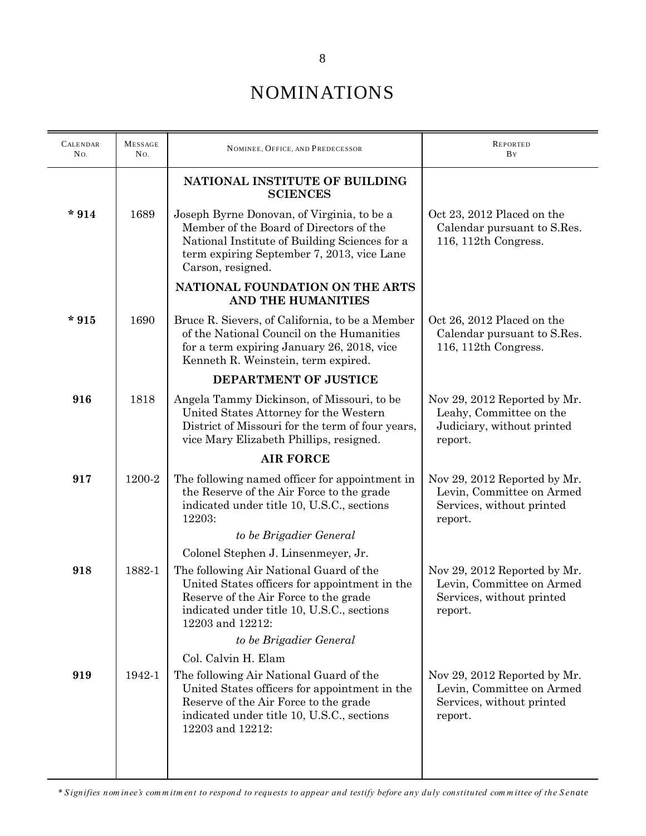| <b>CALENDAR</b><br>No. | <b>MESSAGE</b><br>No. | NOMINEE, OFFICE, AND PREDECESSOR                                                                                                                                                                          | <b>REPORTED</b><br>BY                                                                             |  |
|------------------------|-----------------------|-----------------------------------------------------------------------------------------------------------------------------------------------------------------------------------------------------------|---------------------------------------------------------------------------------------------------|--|
|                        |                       | NATIONAL INSTITUTE OF BUILDING<br><b>SCIENCES</b>                                                                                                                                                         |                                                                                                   |  |
| $*914$                 | 1689                  | Joseph Byrne Donovan, of Virginia, to be a<br>Member of the Board of Directors of the<br>National Institute of Building Sciences for a<br>term expiring September 7, 2013, vice Lane<br>Carson, resigned. | Oct 23, 2012 Placed on the<br>Calendar pursuant to S.Res.<br>116, 112th Congress.                 |  |
|                        |                       | NATIONAL FOUNDATION ON THE ARTS<br>AND THE HUMANITIES                                                                                                                                                     |                                                                                                   |  |
| $*915$                 | 1690                  | Bruce R. Sievers, of California, to be a Member<br>of the National Council on the Humanities<br>for a term expiring January 26, 2018, vice<br>Kenneth R. Weinstein, term expired.                         | Oct 26, 2012 Placed on the<br>Calendar pursuant to S.Res.<br>116, 112th Congress.                 |  |
|                        |                       | DEPARTMENT OF JUSTICE                                                                                                                                                                                     |                                                                                                   |  |
| 916                    | 1818                  | Angela Tammy Dickinson, of Missouri, to be<br>United States Attorney for the Western<br>District of Missouri for the term of four years,<br>vice Mary Elizabeth Phillips, resigned.                       | Nov 29, 2012 Reported by Mr.<br>Leahy, Committee on the<br>Judiciary, without printed<br>report.  |  |
|                        |                       | <b>AIR FORCE</b>                                                                                                                                                                                          |                                                                                                   |  |
| 917                    | 1200-2                | The following named officer for appointment in<br>the Reserve of the Air Force to the grade<br>indicated under title 10, U.S.C., sections<br>12203:                                                       | Nov 29, 2012 Reported by Mr.<br>Levin, Committee on Armed<br>Services, without printed<br>report. |  |
|                        |                       | to be Brigadier General                                                                                                                                                                                   |                                                                                                   |  |
|                        |                       | Colonel Stephen J. Linsenmeyer, Jr.                                                                                                                                                                       |                                                                                                   |  |
| 918                    | 1882-1                | The following Air National Guard of the<br>United States officers for appointment in the<br>Reserve of the Air Force to the grade<br>indicated under title 10, U.S.C., sections<br>12203 and 12212:       | Nov 29, 2012 Reported by Mr.<br>Levin, Committee on Armed<br>Services, without printed<br>report. |  |
|                        |                       | to be Brigadier General                                                                                                                                                                                   |                                                                                                   |  |
| 919                    | 1942-1                | Col. Calvin H. Elam<br>The following Air National Guard of the                                                                                                                                            | Nov 29, 2012 Reported by Mr.                                                                      |  |
|                        |                       | United States officers for appointment in the<br>Reserve of the Air Force to the grade<br>indicated under title 10, U.S.C., sections<br>12203 and 12212:                                                  | Levin, Committee on Armed<br>Services, without printed<br>report.                                 |  |
|                        |                       |                                                                                                                                                                                                           |                                                                                                   |  |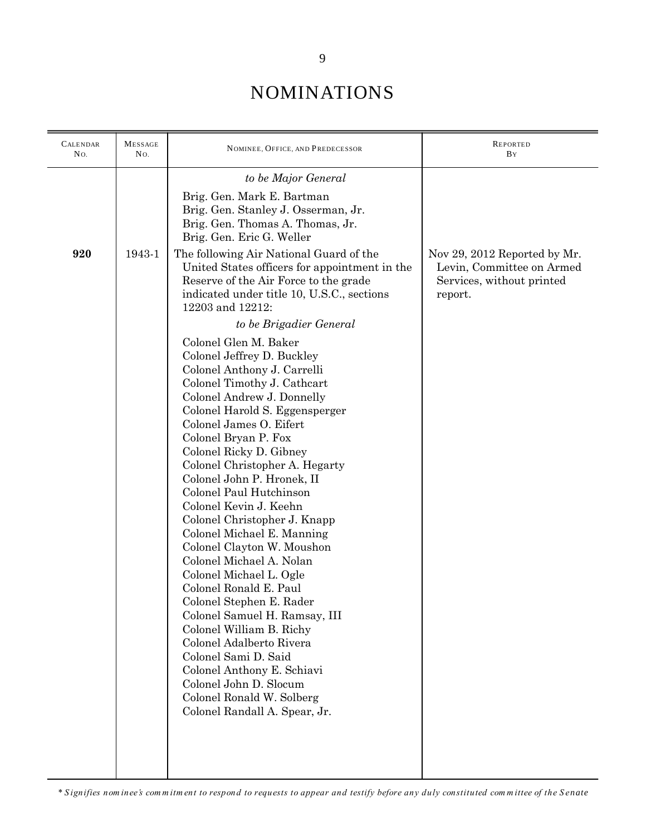| <b>CALENDAR</b><br>No. | <b>MESSAGE</b><br>No. | NOMINEE, OFFICE, AND PREDECESSOR                                                                                                                                                                                                                                                                                                                                                                                                                                                                                                                                                                                                                                                                                                                                                                                                     | <b>REPORTED</b><br>BY                                                                             |
|------------------------|-----------------------|--------------------------------------------------------------------------------------------------------------------------------------------------------------------------------------------------------------------------------------------------------------------------------------------------------------------------------------------------------------------------------------------------------------------------------------------------------------------------------------------------------------------------------------------------------------------------------------------------------------------------------------------------------------------------------------------------------------------------------------------------------------------------------------------------------------------------------------|---------------------------------------------------------------------------------------------------|
|                        |                       | to be Major General                                                                                                                                                                                                                                                                                                                                                                                                                                                                                                                                                                                                                                                                                                                                                                                                                  |                                                                                                   |
|                        |                       | Brig. Gen. Mark E. Bartman<br>Brig. Gen. Stanley J. Osserman, Jr.<br>Brig. Gen. Thomas A. Thomas, Jr.<br>Brig. Gen. Eric G. Weller                                                                                                                                                                                                                                                                                                                                                                                                                                                                                                                                                                                                                                                                                                   |                                                                                                   |
| 920                    | 1943-1                | The following Air National Guard of the<br>United States officers for appointment in the<br>Reserve of the Air Force to the grade<br>indicated under title 10, U.S.C., sections<br>12203 and 12212:                                                                                                                                                                                                                                                                                                                                                                                                                                                                                                                                                                                                                                  | Nov 29, 2012 Reported by Mr.<br>Levin, Committee on Armed<br>Services, without printed<br>report. |
|                        |                       | to be Brigadier General                                                                                                                                                                                                                                                                                                                                                                                                                                                                                                                                                                                                                                                                                                                                                                                                              |                                                                                                   |
|                        |                       | Colonel Glen M. Baker<br>Colonel Jeffrey D. Buckley<br>Colonel Anthony J. Carrelli<br>Colonel Timothy J. Cathcart<br>Colonel Andrew J. Donnelly<br>Colonel Harold S. Eggensperger<br>Colonel James O. Eifert<br>Colonel Bryan P. Fox<br>Colonel Ricky D. Gibney<br>Colonel Christopher A. Hegarty<br>Colonel John P. Hronek, II<br>Colonel Paul Hutchinson<br>Colonel Kevin J. Keehn<br>Colonel Christopher J. Knapp<br>Colonel Michael E. Manning<br>Colonel Clayton W. Moushon<br>Colonel Michael A. Nolan<br>Colonel Michael L. Ogle<br>Colonel Ronald E. Paul<br>Colonel Stephen E. Rader<br>Colonel Samuel H. Ramsay, III<br>Colonel William B. Richy<br>Colonel Adalberto Rivera<br>Colonel Sami D. Said<br>Colonel Anthony E. Schiavi<br>Colonel John D. Slocum<br>Colonel Ronald W. Solberg<br>Colonel Randall A. Spear, Jr. |                                                                                                   |
|                        |                       |                                                                                                                                                                                                                                                                                                                                                                                                                                                                                                                                                                                                                                                                                                                                                                                                                                      |                                                                                                   |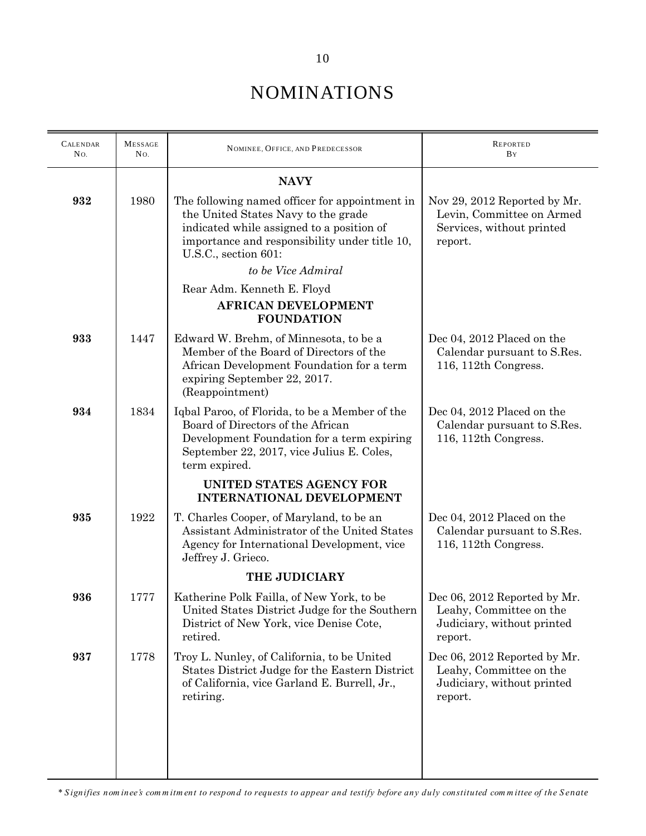| <b>CALENDAR</b><br>No. | <b>MESSAGE</b><br>No. | NOMINEE, OFFICE, AND PREDECESSOR                                                                                                                                                                            | <b>REPORTED</b><br>BY                                                                             |
|------------------------|-----------------------|-------------------------------------------------------------------------------------------------------------------------------------------------------------------------------------------------------------|---------------------------------------------------------------------------------------------------|
|                        |                       | <b>NAVY</b>                                                                                                                                                                                                 |                                                                                                   |
| 932                    | 1980                  | The following named officer for appointment in<br>the United States Navy to the grade<br>indicated while assigned to a position of<br>importance and responsibility under title 10,<br>U.S.C., section 601: | Nov 29, 2012 Reported by Mr.<br>Levin, Committee on Armed<br>Services, without printed<br>report. |
|                        |                       | to be Vice Admiral                                                                                                                                                                                          |                                                                                                   |
|                        |                       | Rear Adm. Kenneth E. Floyd<br><b>AFRICAN DEVELOPMENT</b><br><b>FOUNDATION</b>                                                                                                                               |                                                                                                   |
| 933                    | 1447                  | Edward W. Brehm, of Minnesota, to be a<br>Member of the Board of Directors of the<br>African Development Foundation for a term<br>expiring September 22, 2017.<br>(Reappointment)                           | Dec 04, 2012 Placed on the<br>Calendar pursuant to S.Res.<br>116, 112th Congress.                 |
| 934                    | 1834                  | Iqbal Paroo, of Florida, to be a Member of the<br>Board of Directors of the African<br>Development Foundation for a term expiring<br>September 22, 2017, vice Julius E. Coles,<br>term expired.             | Dec 04, 2012 Placed on the<br>Calendar pursuant to S.Res.<br>116, 112th Congress.                 |
|                        |                       | UNITED STATES AGENCY FOR<br><b>INTERNATIONAL DEVELOPMENT</b>                                                                                                                                                |                                                                                                   |
| 935                    | 1922                  | T. Charles Cooper, of Maryland, to be an<br>Assistant Administrator of the United States<br>Agency for International Development, vice<br>Jeffrey J. Grieco.                                                | Dec 04, 2012 Placed on the<br>Calendar pursuant to S.Res.<br>116, 112th Congress.                 |
|                        |                       | THE JUDICIARY                                                                                                                                                                                               |                                                                                                   |
| 936                    | 1777                  | Katherine Polk Failla, of New York, to be<br>United States District Judge for the Southern<br>District of New York, vice Denise Cote,<br>retired.                                                           | Dec 06, 2012 Reported by Mr.<br>Leahy, Committee on the<br>Judiciary, without printed<br>report.  |
| 937                    | 1778                  | Troy L. Nunley, of California, to be United<br>States District Judge for the Eastern District<br>of California, vice Garland E. Burrell, Jr.,<br>retiring.                                                  | Dec 06, 2012 Reported by Mr.<br>Leahy, Committee on the<br>Judiciary, without printed<br>report.  |
|                        |                       |                                                                                                                                                                                                             |                                                                                                   |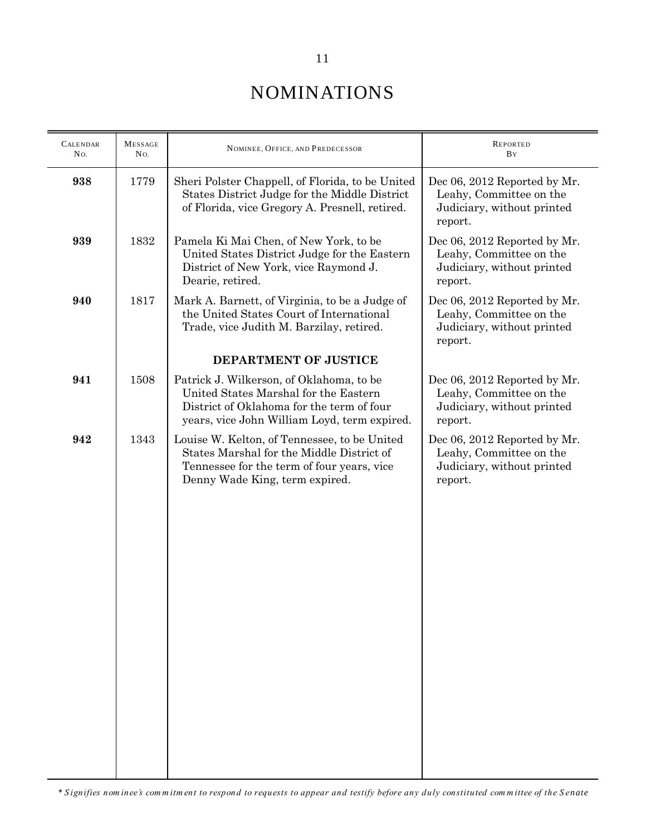| <b>MESSAGE</b><br>No. | NOMINEE, OFFICE, AND PREDECESSOR                                                                                                                                               | <b>REPORTED</b><br>BY                                                                            |  |
|-----------------------|--------------------------------------------------------------------------------------------------------------------------------------------------------------------------------|--------------------------------------------------------------------------------------------------|--|
| 1779                  | Sheri Polster Chappell, of Florida, to be United<br>States District Judge for the Middle District<br>of Florida, vice Gregory A. Presnell, retired.                            | Dec 06, 2012 Reported by Mr.<br>Leahy, Committee on the<br>Judiciary, without printed<br>report. |  |
| 1832                  | Pamela Ki Mai Chen, of New York, to be<br>United States District Judge for the Eastern<br>District of New York, vice Raymond J.<br>Dearie, retired.                            | Dec 06, 2012 Reported by Mr.<br>Leahy, Committee on the<br>Judiciary, without printed<br>report. |  |
| 1817                  | Mark A. Barnett, of Virginia, to be a Judge of<br>the United States Court of International<br>Trade, vice Judith M. Barzilay, retired.                                         | Dec 06, 2012 Reported by Mr.<br>Leahy, Committee on the<br>Judiciary, without printed<br>report. |  |
|                       | DEPARTMENT OF JUSTICE                                                                                                                                                          |                                                                                                  |  |
| 1508                  | Patrick J. Wilkerson, of Oklahoma, to be<br>United States Marshal for the Eastern<br>District of Oklahoma for the term of four<br>years, vice John William Loyd, term expired. | Dec 06, 2012 Reported by Mr.<br>Leahy, Committee on the<br>Judiciary, without printed<br>report. |  |
| 1343                  | Louise W. Kelton, of Tennessee, to be United<br>States Marshal for the Middle District of<br>Tennessee for the term of four years, vice<br>Denny Wade King, term expired.      | Dec 06, 2012 Reported by Mr.<br>Leahy, Committee on the<br>Judiciary, without printed<br>report. |  |
|                       |                                                                                                                                                                                |                                                                                                  |  |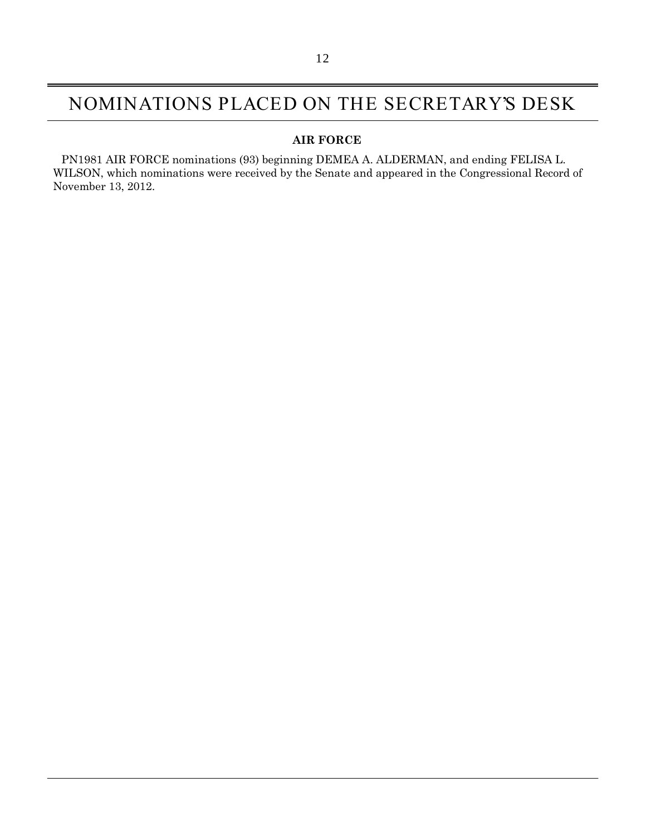#### NOMINATIONS PLACED ON THE SECRETARY'S DESK

#### **AIR FORCE**

PN1981 AIR FORCE nominations (93) beginning DEMEA A. ALDERMAN, and ending FELISA L. WILSON, which nominations were received by the Senate and appeared in the Congressional Record of November 13, 2012.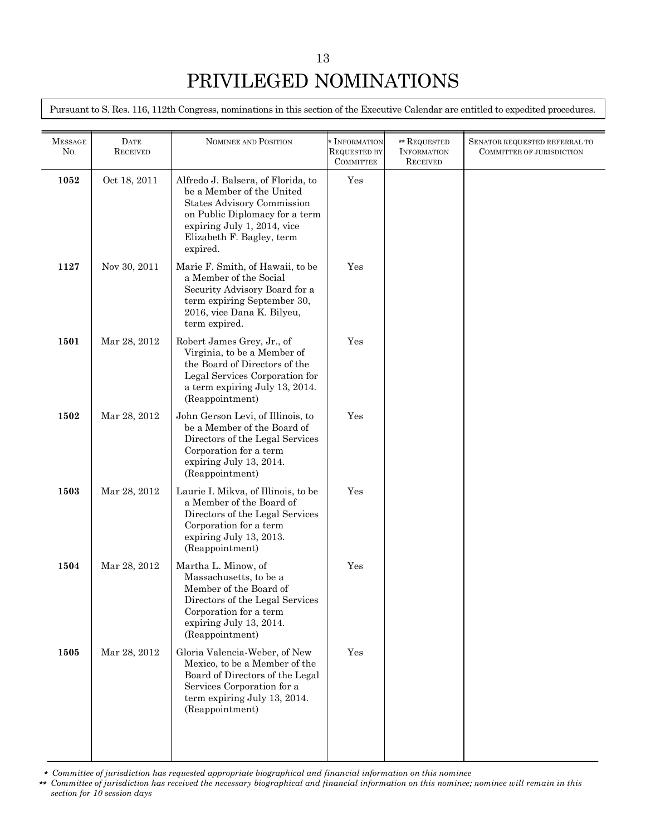Pursuant to S. Res. 116, 112th Congress, nominations in this section of the Executive Calendar are entitled to expedited procedures.

| <b>RECEIVED</b> |                                                                                                                                                                                                                | <b>REQUESTED BY</b><br><b>COMMITTEE</b> | <b>INFORMATION</b><br><b>RECEIVED</b> | SENATOR REQUESTED REFERRAL TO<br>COMMITTEE OF JURISDICTION |
|-----------------|----------------------------------------------------------------------------------------------------------------------------------------------------------------------------------------------------------------|-----------------------------------------|---------------------------------------|------------------------------------------------------------|
| Oct 18, 2011    | Alfredo J. Balsera, of Florida, to<br>be a Member of the United<br><b>States Advisory Commission</b><br>on Public Diplomacy for a term<br>expiring July 1, 2014, vice<br>Elizabeth F. Bagley, term<br>expired. | Yes                                     |                                       |                                                            |
| Nov 30, 2011    | Marie F. Smith, of Hawaii, to be<br>a Member of the Social<br>Security Advisory Board for a<br>term expiring September 30,<br>2016, vice Dana K. Bilyeu,<br>term expired.                                      | Yes                                     |                                       |                                                            |
| Mar 28, 2012    | Robert James Grey, Jr., of<br>Virginia, to be a Member of<br>the Board of Directors of the<br>Legal Services Corporation for<br>a term expiring July 13, 2014.<br>(Reappointment)                              | Yes                                     |                                       |                                                            |
| Mar 28, 2012    | John Gerson Levi, of Illinois, to<br>be a Member of the Board of<br>Directors of the Legal Services<br>Corporation for a term<br>expiring July 13, 2014.<br>(Reappointment)                                    | Yes                                     |                                       |                                                            |
| Mar 28, 2012    | Laurie I. Mikva, of Illinois, to be<br>a Member of the Board of<br>Directors of the Legal Services<br>Corporation for a term<br>expiring July 13, 2013.<br>(Reappointment)                                     | Yes                                     |                                       |                                                            |
| Mar 28, 2012    | Martha L. Minow, of<br>Massachusetts, to be a<br>Member of the Board of<br>Directors of the Legal Services<br>Corporation for a term<br>expiring July 13, 2014.<br>(Reappointment)                             | Yes                                     |                                       |                                                            |
| Mar 28, 2012    | Gloria Valencia-Weber, of New<br>Mexico, to be a Member of the<br>Board of Directors of the Legal<br>Services Corporation for a<br>term expiring July 13, 2014.<br>(Reappointment)                             | Yes                                     |                                       |                                                            |
|                 | <b>DATE</b>                                                                                                                                                                                                    | NOMINEE AND POSITION                    | * INFORMATION                         | ** REQUESTED                                               |

\* *Committee of jurisdiction has requested appropriate biographical and financial information on this nominee*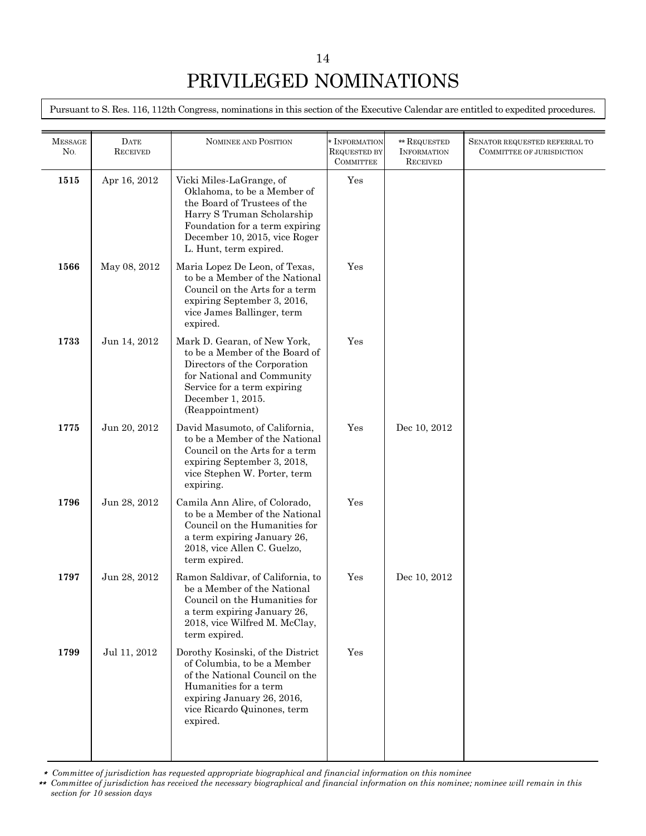Pursuant to S. Res. 116, 112th Congress, nominations in this section of the Executive Calendar are entitled to expedited procedures.

| <b>MESSAGE</b><br>N <sub>O</sub> | <b>DATE</b><br><b>RECEIVED</b> | NOMINEE AND POSITION                                                                                                                                                                                               | * INFORMATION<br><b>REQUESTED BY</b> | ** REQUESTED<br><b>INFORMATION</b> | SENATOR REQUESTED REFERRAL TO<br>COMMITTEE OF JURISDICTION |
|----------------------------------|--------------------------------|--------------------------------------------------------------------------------------------------------------------------------------------------------------------------------------------------------------------|--------------------------------------|------------------------------------|------------------------------------------------------------|
| 1515                             | Apr 16, 2012                   | Vicki Miles-LaGrange, of<br>Oklahoma, to be a Member of<br>the Board of Trustees of the<br>Harry S Truman Scholarship<br>Foundation for a term expiring<br>December 10, 2015, vice Roger<br>L. Hunt, term expired. | <b>COMMITTEE</b><br>Yes              | <b>RECEIVED</b>                    |                                                            |
| 1566                             | May 08, 2012                   | Maria Lopez De Leon, of Texas,<br>to be a Member of the National<br>Council on the Arts for a term<br>expiring September 3, 2016,<br>vice James Ballinger, term<br>expired.                                        | Yes                                  |                                    |                                                            |
| 1733                             | Jun 14, 2012                   | Mark D. Gearan, of New York,<br>to be a Member of the Board of<br>Directors of the Corporation<br>for National and Community<br>Service for a term expiring<br>December 1, 2015.<br>(Reappointment)                | Yes                                  |                                    |                                                            |
| 1775                             | Jun 20, 2012                   | David Masumoto, of California,<br>to be a Member of the National<br>Council on the Arts for a term<br>expiring September 3, 2018,<br>vice Stephen W. Porter, term<br>expiring.                                     | Yes                                  | Dec 10, 2012                       |                                                            |
| 1796                             | Jun 28, 2012                   | Camila Ann Alire, of Colorado,<br>to be a Member of the National<br>Council on the Humanities for<br>a term expiring January 26,<br>2018, vice Allen C. Guelzo,<br>term expired.                                   | Yes                                  |                                    |                                                            |
| 1797                             | Jun 28, 2012                   | Ramon Saldivar, of California, to<br>be a Member of the National<br>Council on the Humanities for<br>a term expiring January 26,<br>2018, vice Wilfred M. McClay,<br>term expired.                                 | Yes                                  | Dec 10, 2012                       |                                                            |
| 1799                             | Jul 11, 2012                   | Dorothy Kosinski, of the District<br>of Columbia, to be a Member<br>of the National Council on the<br>Humanities for a term<br>expiring January 26, 2016,<br>vice Ricardo Quinones, term<br>expired.               | Yes                                  |                                    |                                                            |

\* *Committee of jurisdiction has requested appropriate biographical and financial information on this nominee*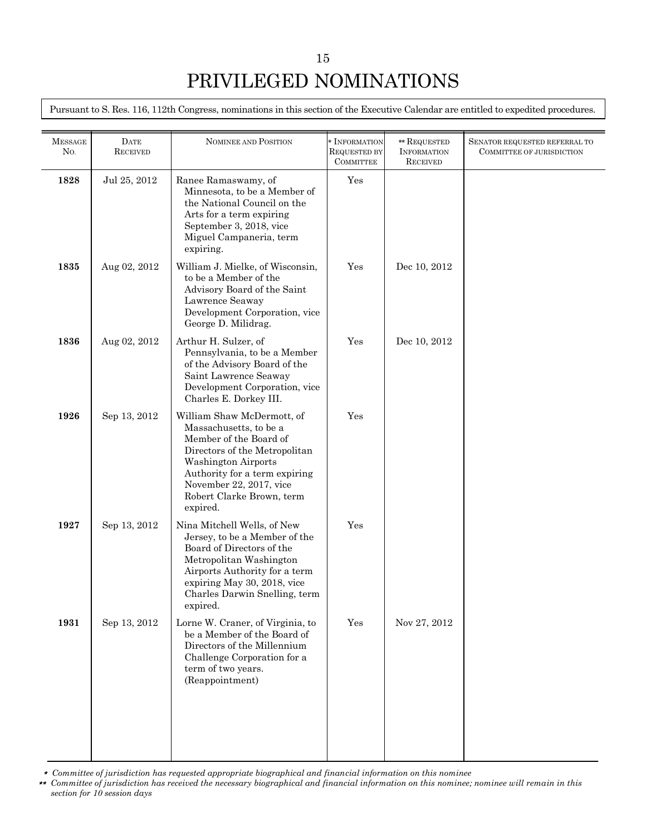Pursuant to S. Res. 116, 112th Congress, nominations in this section of the Executive Calendar are entitled to expedited procedures.

| <b>MESSAGE</b><br>N <sub>O</sub> | <b>DATE</b><br><b>RECEIVED</b> | <b>NOMINEE AND POSITION</b>                                                                                                                                                                                                                        | * INFORMATION<br><b>REQUESTED BY</b><br><b>COMMITTEE</b> | ** REQUESTED<br><b>INFORMATION</b><br><b>RECEIVED</b> | SENATOR REQUESTED REFERRAL TO<br>COMMITTEE OF JURISDICTION |
|----------------------------------|--------------------------------|----------------------------------------------------------------------------------------------------------------------------------------------------------------------------------------------------------------------------------------------------|----------------------------------------------------------|-------------------------------------------------------|------------------------------------------------------------|
| 1828                             | Jul 25, 2012                   | Ranee Ramaswamy, of<br>Minnesota, to be a Member of<br>the National Council on the<br>Arts for a term expiring<br>September 3, 2018, vice<br>Miguel Campaneria, term<br>expiring.                                                                  | Yes                                                      |                                                       |                                                            |
| 1835                             | Aug 02, 2012                   | William J. Mielke, of Wisconsin,<br>to be a Member of the<br>Advisory Board of the Saint<br>Lawrence Seaway<br>Development Corporation, vice<br>George D. Milidrag.                                                                                | Yes                                                      | Dec 10, 2012                                          |                                                            |
| 1836                             | Aug 02, 2012                   | Arthur H. Sulzer, of<br>Pennsylvania, to be a Member<br>of the Advisory Board of the<br>Saint Lawrence Seaway<br>Development Corporation, vice<br>Charles E. Dorkey III.                                                                           | Yes                                                      | Dec 10, 2012                                          |                                                            |
| 1926                             | Sep 13, 2012                   | William Shaw McDermott, of<br>Massachusetts, to be a<br>Member of the Board of<br>Directors of the Metropolitan<br><b>Washington Airports</b><br>Authority for a term expiring<br>November 22, 2017, vice<br>Robert Clarke Brown, term<br>expired. | Yes                                                      |                                                       |                                                            |
| 1927                             | Sep 13, 2012                   | Nina Mitchell Wells, of New<br>Jersey, to be a Member of the<br>Board of Directors of the<br>Metropolitan Washington<br>Airports Authority for a term<br>expiring May 30, 2018, vice<br>Charles Darwin Snelling, term<br>expired.                  | Yes                                                      |                                                       |                                                            |
| 1931                             | Sep 13, 2012                   | Lorne W. Craner, of Virginia, to<br>be a Member of the Board of<br>Directors of the Millennium<br>Challenge Corporation for a<br>term of two years.<br>(Reappointment)                                                                             | Yes                                                      | Nov 27, 2012                                          |                                                            |

\* *Committee of jurisdiction has requested appropriate biographical and financial information on this nominee*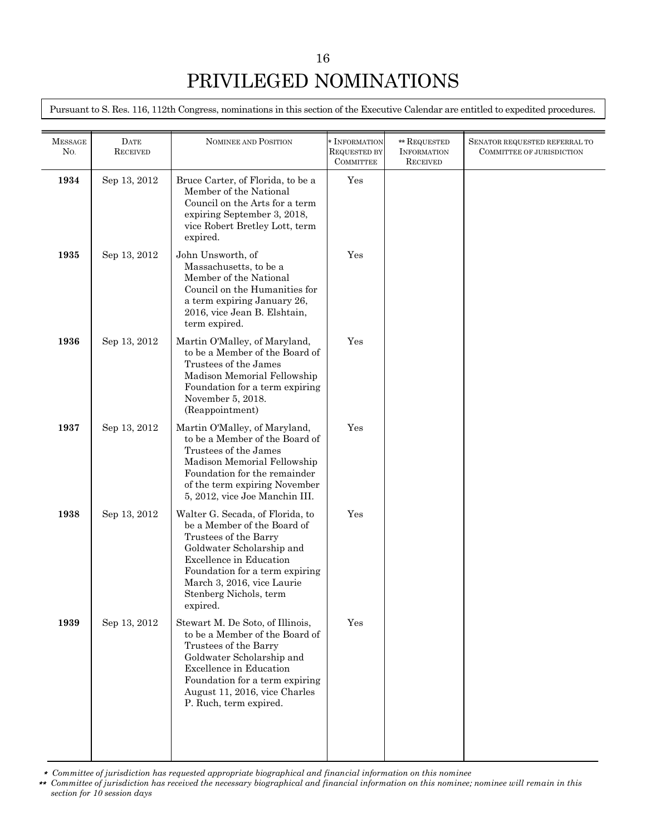Pursuant to S. Res. 116, 112th Congress, nominations in this section of the Executive Calendar are entitled to expedited procedures.

| <b>MESSAGE</b><br>No. | <b>DATE</b><br><b>RECEIVED</b> | <b>NOMINEE AND POSITION</b>                                                                                                                                                                                                                            | * INFORMATION<br><b>REQUESTED BY</b><br><b>COMMITTEE</b> | ** REQUESTED<br><b>INFORMATION</b><br><b>RECEIVED</b> | SENATOR REQUESTED REFERRAL TO<br>COMMITTEE OF JURISDICTION |
|-----------------------|--------------------------------|--------------------------------------------------------------------------------------------------------------------------------------------------------------------------------------------------------------------------------------------------------|----------------------------------------------------------|-------------------------------------------------------|------------------------------------------------------------|
| 1934                  | Sep 13, 2012                   | Bruce Carter, of Florida, to be a<br>Member of the National<br>Council on the Arts for a term<br>expiring September 3, 2018,<br>vice Robert Bretley Lott, term<br>expired.                                                                             | Yes                                                      |                                                       |                                                            |
| 1935                  | Sep 13, 2012                   | John Unsworth, of<br>Massachusetts, to be a<br>Member of the National<br>Council on the Humanities for<br>a term expiring January 26,<br>2016, vice Jean B. Elshtain,<br>term expired.                                                                 | Yes                                                      |                                                       |                                                            |
| 1936                  | Sep 13, 2012                   | Martin O'Malley, of Maryland,<br>to be a Member of the Board of<br>Trustees of the James<br>Madison Memorial Fellowship<br>Foundation for a term expiring<br>November 5, 2018.<br>(Reappointment)                                                      | Yes                                                      |                                                       |                                                            |
| 1937                  | Sep 13, 2012                   | Martin O'Malley, of Maryland,<br>to be a Member of the Board of<br>Trustees of the James<br>Madison Memorial Fellowship<br>Foundation for the remainder<br>of the term expiring November<br>5, 2012, vice Joe Manchin III.                             | Yes                                                      |                                                       |                                                            |
| 1938                  | Sep 13, 2012                   | Walter G. Secada, of Florida, to<br>be a Member of the Board of<br>Trustees of the Barry<br>Goldwater Scholarship and<br>Excellence in Education<br>Foundation for a term expiring<br>March 3, 2016, vice Laurie<br>Stenberg Nichols, term<br>expired. | Yes                                                      |                                                       |                                                            |
| 1939                  | Sep 13, 2012                   | Stewart M. De Soto, of Illinois,<br>to be a Member of the Board of<br>Trustees of the Barry<br>Goldwater Scholarship and<br>Excellence in Education<br>Foundation for a term expiring<br>August 11, 2016, vice Charles<br>P. Ruch, term expired.       | Yes                                                      |                                                       |                                                            |
|                       |                                |                                                                                                                                                                                                                                                        |                                                          |                                                       |                                                            |

\* *Committee of jurisdiction has requested appropriate biographical and financial information on this nominee*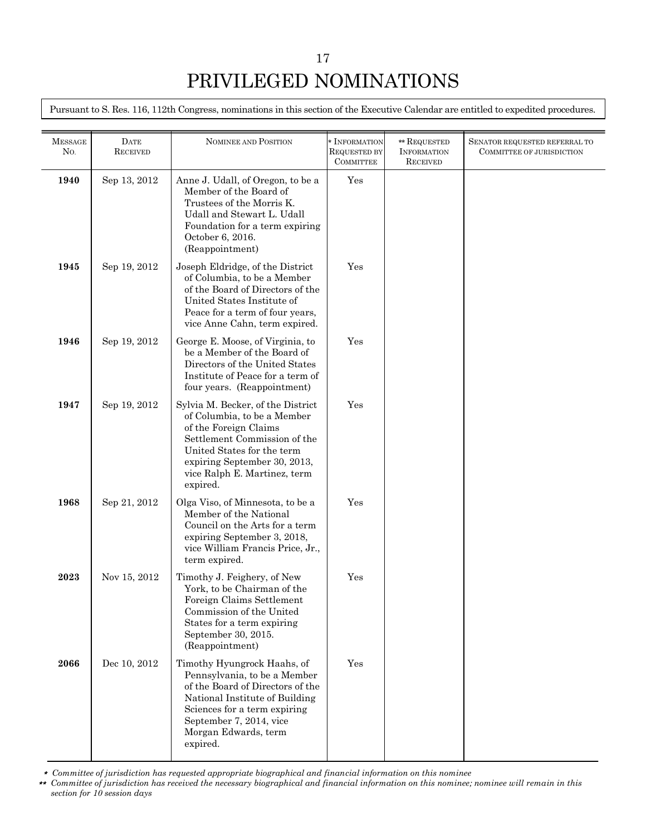Pursuant to S. Res. 116, 112th Congress, nominations in this section of the Executive Calendar are entitled to expedited procedures.

| <b>MESSAGE</b><br>No. | <b>DATE</b><br><b>RECEIVED</b> | <b>NOMINEE AND POSITION</b>                                                                                                                                                                                                         | * INFORMATION<br><b>REQUESTED BY</b> | ** REQUESTED<br><b>INFORMATION</b> | SENATOR REQUESTED REFERRAL TO<br>COMMITTEE OF JURISDICTION |
|-----------------------|--------------------------------|-------------------------------------------------------------------------------------------------------------------------------------------------------------------------------------------------------------------------------------|--------------------------------------|------------------------------------|------------------------------------------------------------|
|                       |                                |                                                                                                                                                                                                                                     | <b>COMMITTEE</b>                     | <b>RECEIVED</b>                    |                                                            |
| 1940                  | Sep 13, 2012                   | Anne J. Udall, of Oregon, to be a<br>Member of the Board of<br>Trustees of the Morris K.<br>Udall and Stewart L. Udall<br>Foundation for a term expiring<br>October 6, 2016.<br>(Reappointment)                                     | Yes                                  |                                    |                                                            |
| 1945                  | Sep 19, 2012                   | Joseph Eldridge, of the District<br>of Columbia, to be a Member<br>of the Board of Directors of the<br>United States Institute of<br>Peace for a term of four years,<br>vice Anne Cahn, term expired.                               | Yes                                  |                                    |                                                            |
| 1946                  | Sep 19, 2012                   | George E. Moose, of Virginia, to<br>be a Member of the Board of<br>Directors of the United States<br>Institute of Peace for a term of<br>four years. (Reappointment)                                                                | Yes                                  |                                    |                                                            |
| 1947                  | Sep 19, 2012                   | Sylvia M. Becker, of the District<br>of Columbia, to be a Member<br>of the Foreign Claims<br>Settlement Commission of the<br>United States for the term<br>expiring September 30, 2013,<br>vice Ralph E. Martinez, term<br>expired. | Yes                                  |                                    |                                                            |
| 1968                  | Sep 21, 2012                   | Olga Viso, of Minnesota, to be a<br>Member of the National<br>Council on the Arts for a term<br>expiring September 3, 2018,<br>vice William Francis Price, Jr.,<br>term expired.                                                    | Yes                                  |                                    |                                                            |
| 2023                  | Nov 15, 2012                   | Timothy J. Feighery, of New<br>York, to be Chairman of the<br>Foreign Claims Settlement<br>Commission of the United<br>States for a term expiring<br>September 30, 2015.<br>(Reappointment)                                         | Yes                                  |                                    |                                                            |
| 2066                  | Dec 10, 2012                   | Timothy Hyungrock Haahs, of<br>Pennsylvania, to be a Member<br>of the Board of Directors of the<br>National Institute of Building<br>Sciences for a term expiring<br>September 7, 2014, vice<br>Morgan Edwards, term<br>expired.    | Yes                                  |                                    |                                                            |

\* *Committee of jurisdiction has requested appropriate biographical and financial information on this nominee*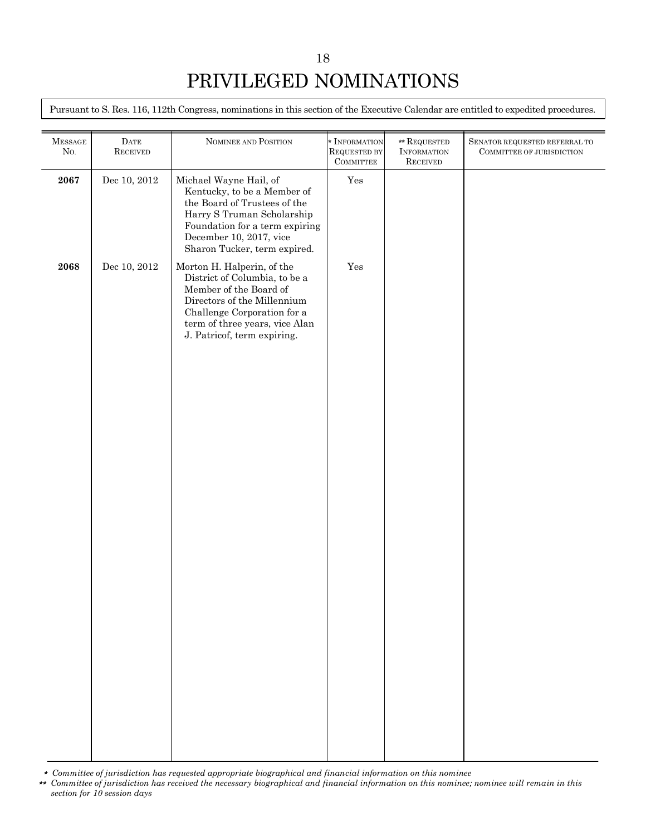Pursuant to S. Res. 116, 112th Congress, nominations in this section of the Executive Calendar are entitled to expedited procedures.

| <b>MESSAGE</b><br>$\rm No.$ | $\rm{DATE}$<br>${\rm \bf \textsc{RECEIVED}}$ | NOMINEE AND POSITION                                                                                                                                                                                                 | * INFORMATION<br>REQUESTED BY<br>COMMITTEE | $\ast\ast$ REQUESTED<br><b>INFORMATION</b><br><b>RECEIVED</b> | SENATOR REQUESTED REFERRAL TO<br>COMMITTEE OF JURISDICTION |
|-----------------------------|----------------------------------------------|----------------------------------------------------------------------------------------------------------------------------------------------------------------------------------------------------------------------|--------------------------------------------|---------------------------------------------------------------|------------------------------------------------------------|
| 2067                        | Dec 10, 2012                                 | Michael Wayne Hail, of<br>Kentucky, to be a Member of<br>the Board of Trustees of the<br>Harry S Truman Scholarship<br>Foundation for a term expiring<br>December 10, 2017, vice<br>Sharon Tucker, term expired.     | Yes                                        |                                                               |                                                            |
| 2068                        | Dec 10, 2012                                 | Morton H. Halperin, of the<br>District of Columbia, to be a<br>Member of the Board of<br>Directors of the Millennium<br>Challenge Corporation for a<br>term of three years, vice Alan<br>J. Patricof, term expiring. | Yes                                        |                                                               |                                                            |
|                             |                                              |                                                                                                                                                                                                                      |                                            |                                                               |                                                            |
|                             |                                              |                                                                                                                                                                                                                      |                                            |                                                               |                                                            |
|                             |                                              |                                                                                                                                                                                                                      |                                            |                                                               |                                                            |

\* *Committee of jurisdiction has requested appropriate biographical and financial information on this nominee*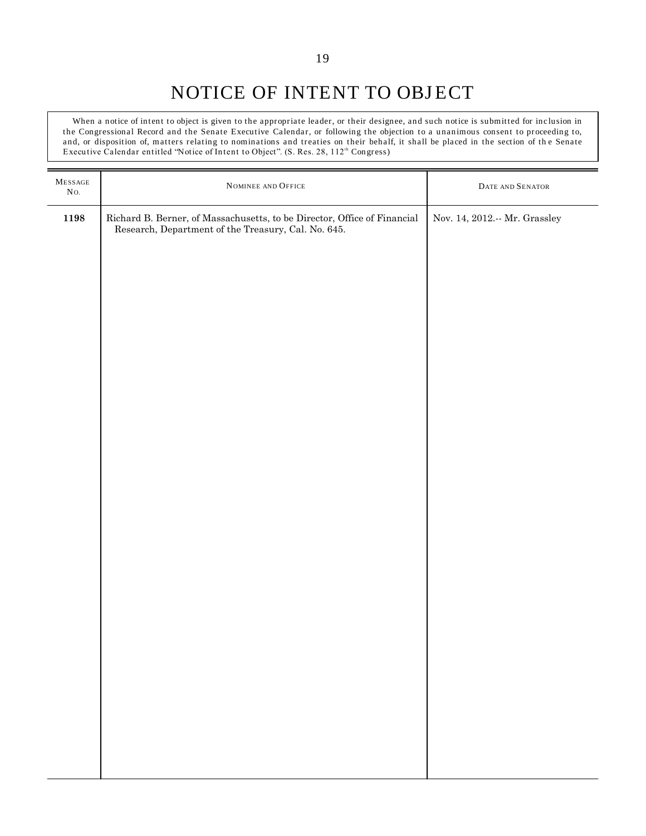# NOTICE OF INTENT TO OBJECT

When a notice of intent to object is given to the appropriate leader, or their designee, and such notice is submitted for inclusion in the Congressional Record and the Senate Executive Calendar, or following the objection to a unanimous consent to proceeding to, and, or disposition of, matters relating to nominations and treaties on their behalf, it shall be placed in the section of the Senate Executive Calendar entitled "Notice of Intent to Object". (S. Res. 28, 112<sup>th</sup> Congress)

| ${\bf M}$ ESSAGE<br>No. | NOMINEE AND OFFICE                                                                                                              | DATE AND SENATOR                  |
|-------------------------|---------------------------------------------------------------------------------------------------------------------------------|-----------------------------------|
| 1198                    | Richard B. Berner, of Massachusetts, to be Director, Office of Financial<br>Research, Department of the Treasury, Cal. No. 645. | Nov. 14, 2012.<br>-- Mr. Grassley |
|                         |                                                                                                                                 |                                   |
|                         |                                                                                                                                 |                                   |